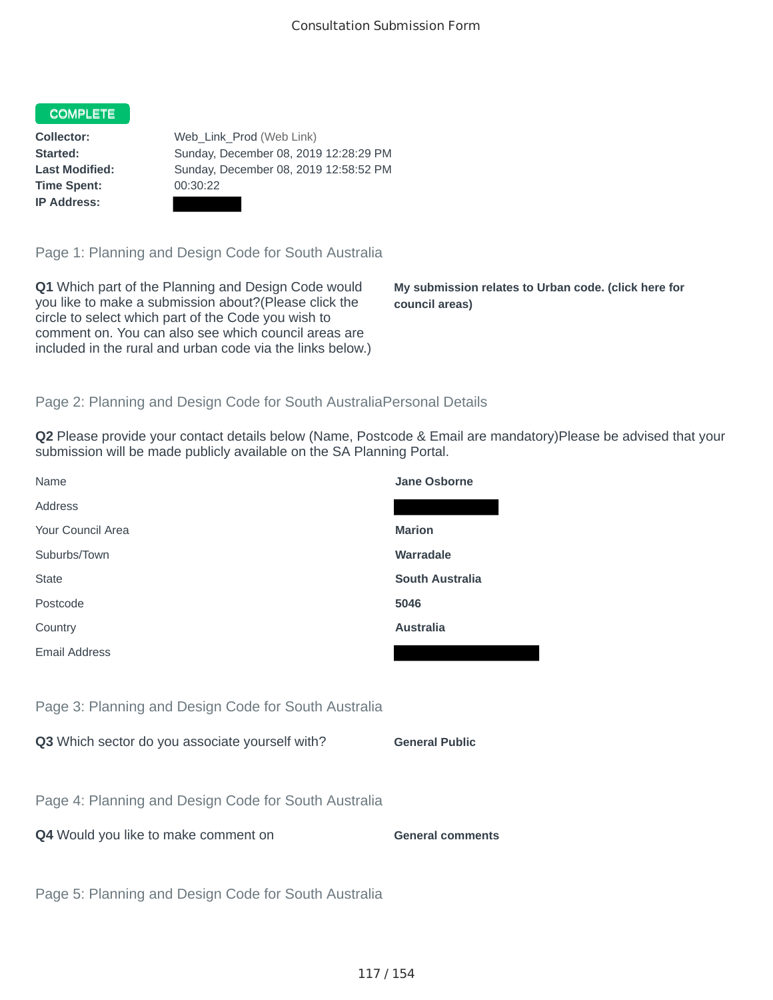## COMPLETE

**Time Spent:** 00:30:22 **IP Address:**

**Collector:** Web\_Link\_Prod (Web Link) **Started:** Sunday, December 08, 2019 12:28:29 PM **Last Modified:** Sunday, December 08, 2019 12:58:52 PM

Page 1: Planning and Design Code for South Australia

**Q1** Which part of the Planning and Design Code would you like to make a submission about?(Please click the circle to select which part of the Code you wish to comment on. You can also see which council areas are included in the rural and urban code via the links below.)

**My submission relates to Urban code. (click here for council areas)**

## Page 2: Planning and Design Code for South AustraliaPersonal Details

**Q2** Please provide your contact details below (Name, Postcode & Email are mandatory)Please be advised that your submission will be made publicly available on the SA Planning Portal.

| Name                                                 | <b>Jane Osborne</b>     |
|------------------------------------------------------|-------------------------|
| Address                                              |                         |
| Your Council Area                                    | <b>Marion</b>           |
| Suburbs/Town                                         | <b>Warradale</b>        |
| <b>State</b>                                         | <b>South Australia</b>  |
| Postcode                                             | 5046                    |
| Country                                              | <b>Australia</b>        |
| <b>Email Address</b>                                 |                         |
|                                                      |                         |
| Page 3: Planning and Design Code for South Australia |                         |
| Q3 Which sector do you associate yourself with?      | <b>General Public</b>   |
|                                                      |                         |
| Page 4: Planning and Design Code for South Australia |                         |
| Q4 Would you like to make comment on                 | <b>General comments</b> |
|                                                      |                         |
| Page 5: Planning and Design Code for South Australia |                         |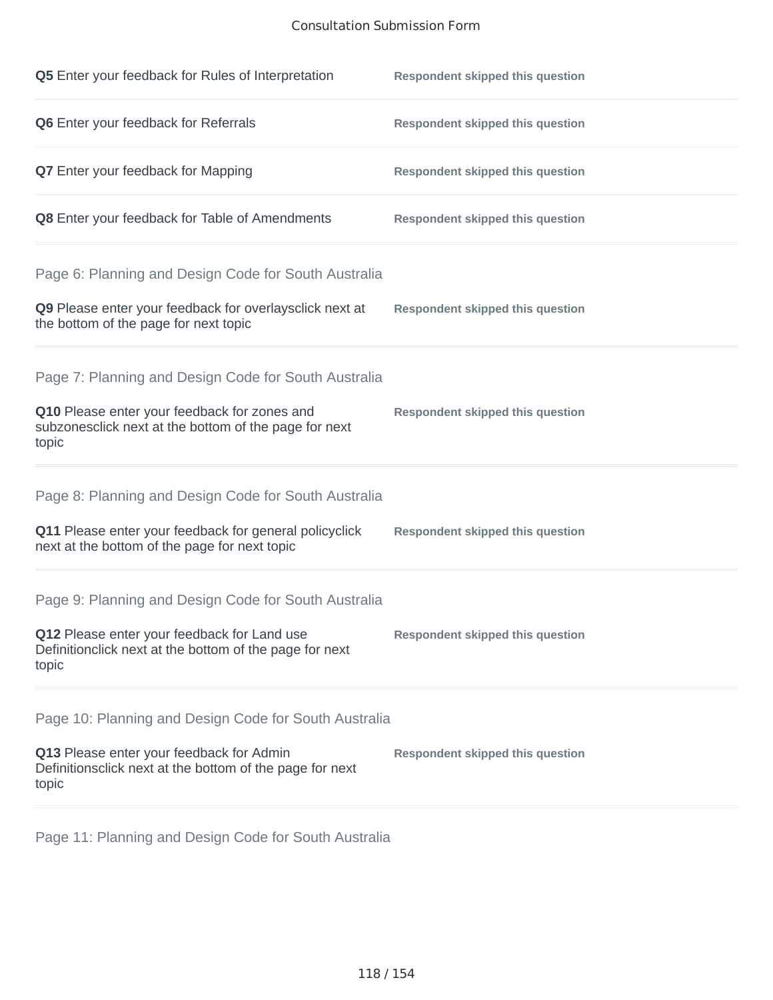## Consultation Submission Form

| Q5 Enter your feedback for Rules of Interpretation                                                              | <b>Respondent skipped this question</b> |
|-----------------------------------------------------------------------------------------------------------------|-----------------------------------------|
| Q6 Enter your feedback for Referrals                                                                            | <b>Respondent skipped this question</b> |
| <b>Q7</b> Enter your feedback for Mapping                                                                       | <b>Respondent skipped this question</b> |
| Q8 Enter your feedback for Table of Amendments                                                                  | <b>Respondent skipped this question</b> |
| Page 6: Planning and Design Code for South Australia                                                            |                                         |
| Q9 Please enter your feedback for overlaysclick next at<br>the bottom of the page for next topic                | <b>Respondent skipped this question</b> |
| Page 7: Planning and Design Code for South Australia                                                            |                                         |
| Q10 Please enter your feedback for zones and<br>subzonesclick next at the bottom of the page for next<br>topic  | <b>Respondent skipped this question</b> |
| Page 8: Planning and Design Code for South Australia                                                            |                                         |
| Q11 Please enter your feedback for general policyclick<br>next at the bottom of the page for next topic         | <b>Respondent skipped this question</b> |
| Page 9: Planning and Design Code for South Australia                                                            |                                         |
| Q12 Please enter your feedback for Land use<br>Definitionclick next at the bottom of the page for next<br>topic | <b>Respondent skipped this question</b> |
| Page 10: Planning and Design Code for South Australia                                                           |                                         |
| Q13 Please enter your feedback for Admin<br>Definitionsclick next at the bottom of the page for next<br>topic   | <b>Respondent skipped this question</b> |

Page 11: Planning and Design Code for South Australia